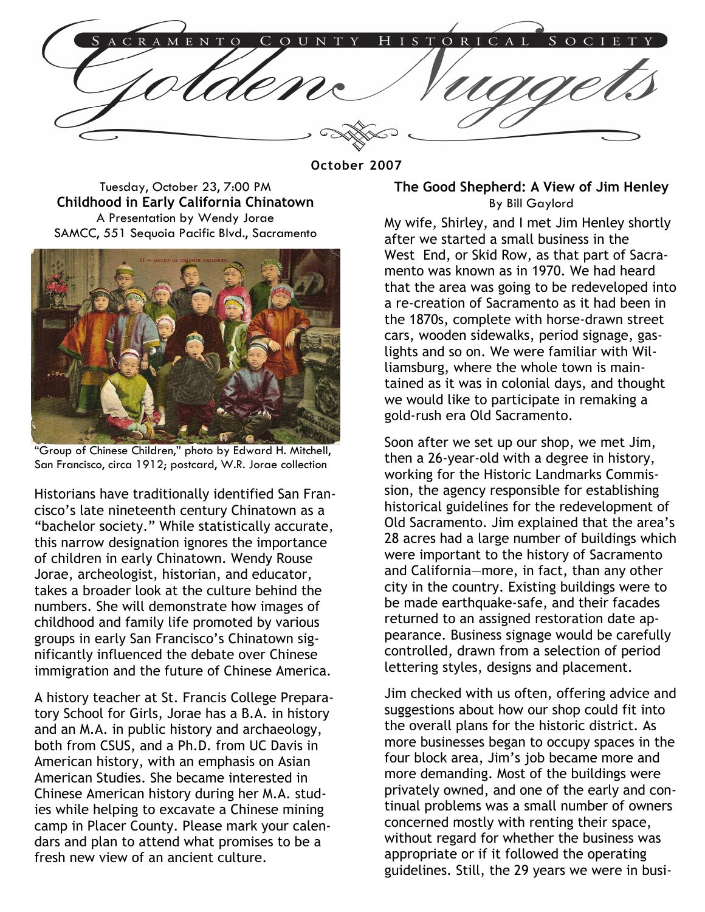ORICAL MENTO N

**October 2007** 

Tuesday, October 23, 7:00 PM **Childhood in Early California Chinatown**  A Presentation by Wendy Jorae SAMCC, 551 Sequoia Pacific Blvd., Sacramento



"Group of Chinese Children," photo by Edward H. Mitchell, San Francisco, circa 1912; postcard, W.R. Jorae collection

Historians have traditionally identified San Francisco's late nineteenth century Chinatown as a "bachelor society." While statistically accurate, this narrow designation ignores the importance of children in early Chinatown. Wendy Rouse Jorae, archeologist, historian, and educator, takes a broader look at the culture behind the numbers. She will demonstrate how images of childhood and family life promoted by various groups in early San Francisco's Chinatown significantly influenced the debate over Chinese immigration and the future of Chinese America.

A history teacher at St. Francis College Preparatory School for Girls, Jorae has a B.A. in history and an M.A. in public history and archaeology, both from CSUS, and a Ph.D. from UC Davis in American history, with an emphasis on Asian American Studies. She became interested in Chinese American history during her M.A. studies while helping to excavate a Chinese mining camp in Placer County. Please mark your calendars and plan to attend what promises to be a fresh new view of an ancient culture.

#### **The Good Shepherd: A View of Jim Henley**  By Bill Gaylord

My wife, Shirley, and I met Jim Henley shortly after we started a small business in the West End, or Skid Row, as that part of Sacramento was known as in 1970. We had heard that the area was going to be redeveloped into a re-creation of Sacramento as it had been in the 1870s, complete with horse-drawn street cars, wooden sidewalks, period signage, gaslights and so on. We were familiar with Williamsburg, where the whole town is maintained as it was in colonial days, and thought we would like to participate in remaking a gold-rush era Old Sacramento.

Soon after we set up our shop, we met Jim, then a 26-year-old with a degree in history, working for the Historic Landmarks Commission, the agency responsible for establishing historical guidelines for the redevelopment of Old Sacramento. Jim explained that the area's 28 acres had a large number of buildings which were important to the history of Sacramento and California—more, in fact, than any other city in the country. Existing buildings were to be made earthquake-safe, and their facades returned to an assigned restoration date appearance. Business signage would be carefully controlled, drawn from a selection of period lettering styles, designs and placement.

Jim checked with us often, offering advice and suggestions about how our shop could fit into the overall plans for the historic district. As more businesses began to occupy spaces in the four block area, Jim's job became more and more demanding. Most of the buildings were privately owned, and one of the early and continual problems was a small number of owners concerned mostly with renting their space, without regard for whether the business was appropriate or if it followed the operating guidelines. Still, the 29 years we were in busi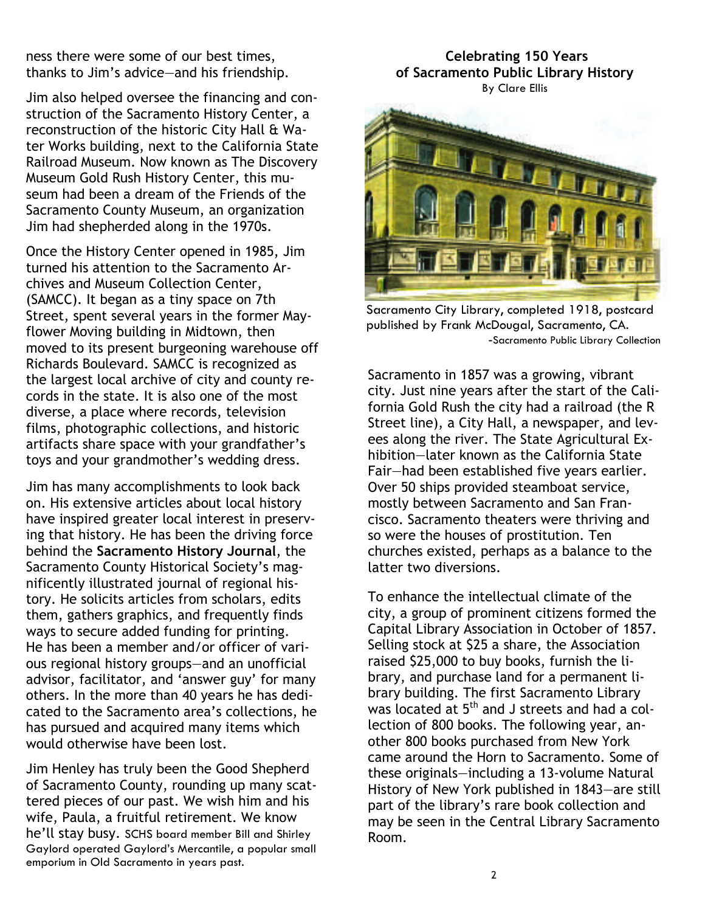ness there were some of our best times, thanks to Jim's advice—and his friendship.

Jim also helped oversee the financing and construction of the Sacramento History Center, a reconstruction of the historic City Hall & Water Works building, next to the California State Railroad Museum. Now known as The Discovery Museum Gold Rush History Center, this museum had been a dream of the Friends of the Sacramento County Museum, an organization Jim had shepherded along in the 1970s.

Once the History Center opened in 1985, Jim turned his attention to the Sacramento Archives and Museum Collection Center, (SAMCC). It began as a tiny space on 7th Street, spent several years in the former Mayflower Moving building in Midtown, then moved to its present burgeoning warehouse off Richards Boulevard. SAMCC is recognized as the largest local archive of city and county records in the state. It is also one of the most diverse, a place where records, television films, photographic collections, and historic artifacts share space with your grandfather's toys and your grandmother's wedding dress.

Jim has many accomplishments to look back on. His extensive articles about local history have inspired greater local interest in preserving that history. He has been the driving force behind the **Sacramento History Journal**, the Sacramento County Historical Society's magnificently illustrated journal of regional history. He solicits articles from scholars, edits them, gathers graphics, and frequently finds ways to secure added funding for printing. He has been a member and/or officer of various regional history groups—and an unofficial advisor, facilitator, and 'answer guy' for many others. In the more than 40 years he has dedicated to the Sacramento area's collections, he has pursued and acquired many items which would otherwise have been lost.

Jim Henley has truly been the Good Shepherd of Sacramento County, rounding up many scattered pieces of our past. We wish him and his wife, Paula, a fruitful retirement. We know he'll stay busy. SCHS board member Bill and Shirley Gaylord operated Gaylord's Mercantile, a popular small emporium in Old Sacramento in years past.

### **Celebrating 150 Years of Sacramento Public Library History**  By Clare Ellis



Sacramento City Library, completed 1918, postcard published by Frank McDougal, Sacramento, CA. -Sacramento Public Library Collection

Sacramento in 1857 was a growing, vibrant city. Just nine years after the start of the California Gold Rush the city had a railroad (the R Street line), a City Hall, a newspaper, and levees along the river. The State Agricultural Exhibition—later known as the California State Fair—had been established five years earlier. Over 50 ships provided steamboat service, mostly between Sacramento and San Francisco. Sacramento theaters were thriving and so were the houses of prostitution. Ten churches existed, perhaps as a balance to the latter two diversions.

To enhance the intellectual climate of the city, a group of prominent citizens formed the Capital Library Association in October of 1857. Selling stock at \$25 a share, the Association raised \$25,000 to buy books, furnish the library, and purchase land for a permanent library building. The first Sacramento Library was located at 5<sup>th</sup> and J streets and had a collection of 800 books. The following year, another 800 books purchased from New York came around the Horn to Sacramento. Some of these originals—including a 13-volume Natural History of New York published in 1843—are still part of the library's rare book collection and may be seen in the Central Library Sacramento Room.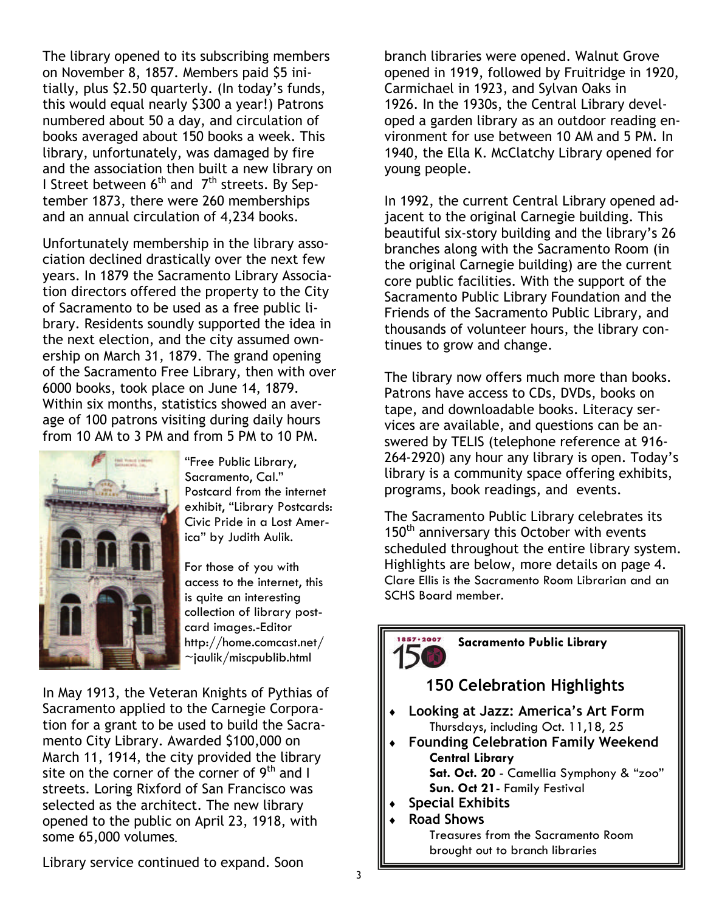The library opened to its subscribing members on November 8, 1857. Members paid \$5 initially, plus \$2.50 quarterly. (In today's funds, this would equal nearly \$300 a year!) Patrons numbered about 50 a day, and circulation of books averaged about 150 books a week. This library, unfortunately, was damaged by fire and the association then built a new library on I Street between  $6<sup>th</sup>$  and  $7<sup>th</sup>$  streets. By September 1873, there were 260 memberships and an annual circulation of 4,234 books.

Unfortunately membership in the library association declined drastically over the next few years. In 1879 the Sacramento Library Association directors offered the property to the City of Sacramento to be used as a free public library. Residents soundly supported the idea in the next election, and the city assumed ownership on March 31, 1879. The grand opening of the Sacramento Free Library, then with over 6000 books, took place on June 14, 1879. Within six months, statistics showed an average of 100 patrons visiting during daily hours from 10 AM to 3 PM and from 5 PM to 10 PM.



"Free Public Library, Sacramento, Cal." Postcard from the internet exhibit, "Library Postcards: Civic Pride in a Lost America" by Judith Aulik.

For those of you with access to the internet, this is quite an interesting collection of library postcard images.-Editor http://home.comcast.net/  $\sim$ jaulik/miscpublib.html

In May 1913, the Veteran Knights of Pythias of Sacramento applied to the Carnegie Corporation for a grant to be used to build the Sacramento City Library. Awarded \$100,000 on March 11, 1914, the city provided the library site on the corner of the corner of  $9<sup>th</sup>$  and I streets. Loring Rixford of San Francisco was selected as the architect. The new library opened to the public on April 23, 1918, with some 65,000 volumes.

branch libraries were opened. Walnut Grove opened in 1919, followed by Fruitridge in 1920, Carmichael in 1923, and Sylvan Oaks in 1926. In the 1930s, the Central Library developed a garden library as an outdoor reading environment for use between 10 AM and 5 PM. In 1940, the Ella K. McClatchy Library opened for young people.

In 1992, the current Central Library opened adjacent to the original Carnegie building. This beautiful six-story building and the library's 26 branches along with the Sacramento Room (in the original Carnegie building) are the current core public facilities. With the support of the Sacramento Public Library Foundation and the Friends of the Sacramento Public Library, and thousands of volunteer hours, the library continues to grow and change.

The library now offers much more than books. Patrons have access to CDs, DVDs, books on tape, and downloadable books. Literacy services are available, and questions can be answered by TELIS (telephone reference at 916- 264-2920) any hour any library is open. Today's library is a community space offering exhibits, programs, book readings, and events.

The Sacramento Public Library celebrates its 150<sup>th</sup> anniversary this October with events scheduled throughout the entire library system. Highlights are below, more details on page 4. Clare Ellis is the Sacramento Room Librarian and an SCHS Board member.

## **Sacramento Public Library**

## **150 Celebration Highlights**

- ♦ **Looking at Jazz: America's Art Form**  Thursdays, including Oct. 11,18, 25
- **Founding Celebration Family Weekend Central Library Sat. Oct. 20** - Camellia Symphony & "zoo" **Sun. Oct 21**- Family Festival
- **Special Exhibits**
- **Road Shows**

857 . 2007

Treasures from the Sacramento Room brought out to branch libraries

Library service continued to expand. Soon